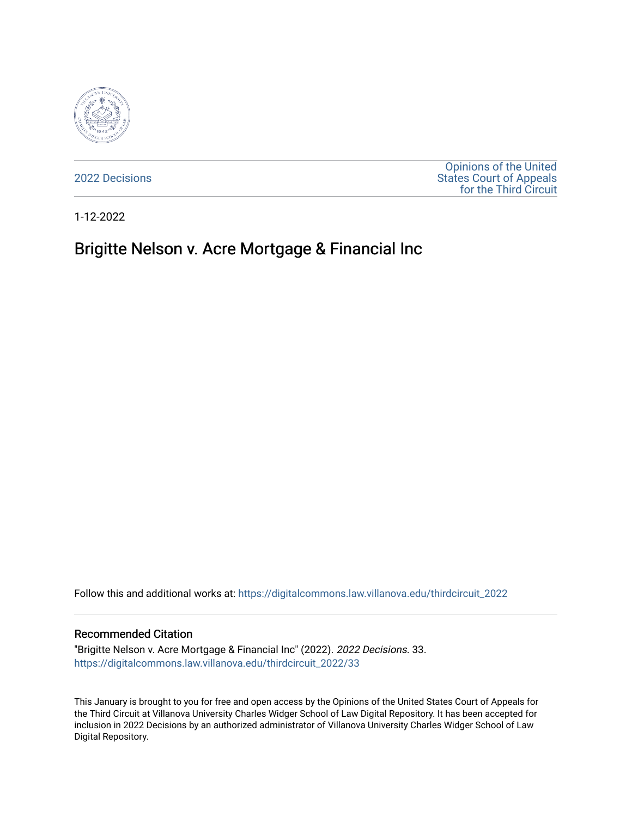

[2022 Decisions](https://digitalcommons.law.villanova.edu/thirdcircuit_2022)

[Opinions of the United](https://digitalcommons.law.villanova.edu/thirdcircuit)  [States Court of Appeals](https://digitalcommons.law.villanova.edu/thirdcircuit)  [for the Third Circuit](https://digitalcommons.law.villanova.edu/thirdcircuit) 

1-12-2022

# Brigitte Nelson v. Acre Mortgage & Financial Inc

Follow this and additional works at: [https://digitalcommons.law.villanova.edu/thirdcircuit\\_2022](https://digitalcommons.law.villanova.edu/thirdcircuit_2022?utm_source=digitalcommons.law.villanova.edu%2Fthirdcircuit_2022%2F33&utm_medium=PDF&utm_campaign=PDFCoverPages) 

### Recommended Citation

"Brigitte Nelson v. Acre Mortgage & Financial Inc" (2022). 2022 Decisions. 33. [https://digitalcommons.law.villanova.edu/thirdcircuit\\_2022/33](https://digitalcommons.law.villanova.edu/thirdcircuit_2022/33?utm_source=digitalcommons.law.villanova.edu%2Fthirdcircuit_2022%2F33&utm_medium=PDF&utm_campaign=PDFCoverPages)

This January is brought to you for free and open access by the Opinions of the United States Court of Appeals for the Third Circuit at Villanova University Charles Widger School of Law Digital Repository. It has been accepted for inclusion in 2022 Decisions by an authorized administrator of Villanova University Charles Widger School of Law Digital Repository.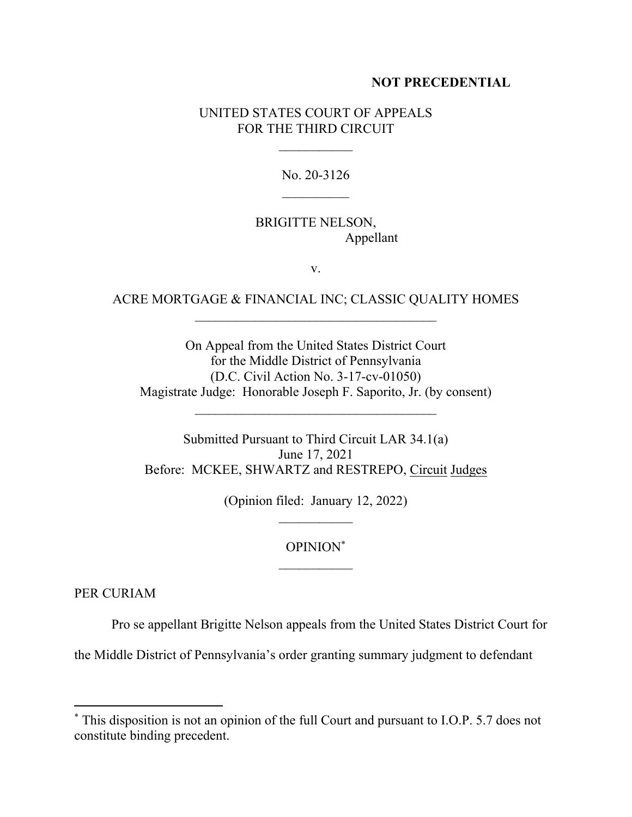## **NOT PRECEDENTIAL**

## UNITED STATES COURT OF APPEALS FOR THE THIRD CIRCUIT

No. 20-3126  $\mathcal{L}_\text{max}$ 

# BRIGITTE NELSON, Appellant

v.

## ACRE MORTGAGE & FINANCIAL INC; CLASSIC QUALITY HOMES

On Appeal from the United States District Court for the Middle District of Pennsylvania (D.C. Civil Action No. 3-17-cv-01050) Magistrate Judge: Honorable Joseph F. Saporito, Jr. (by consent)

Submitted Pursuant to Third Circuit LAR 34.1(a) June 17, 2021 Before: MCKEE, SHWARTZ and RESTREPO, Circuit Judges

(Opinion filed: January 12, 2022)

## OPINION\*

PER CURIAM

Pro se appellant Brigitte Nelson appeals from the United States District Court for

the Middle District of Pennsylvania's order granting summary judgment to defendant

<sup>\*</sup> This disposition is not an opinion of the full Court and pursuant to I.O.P. 5.7 does not constitute binding precedent.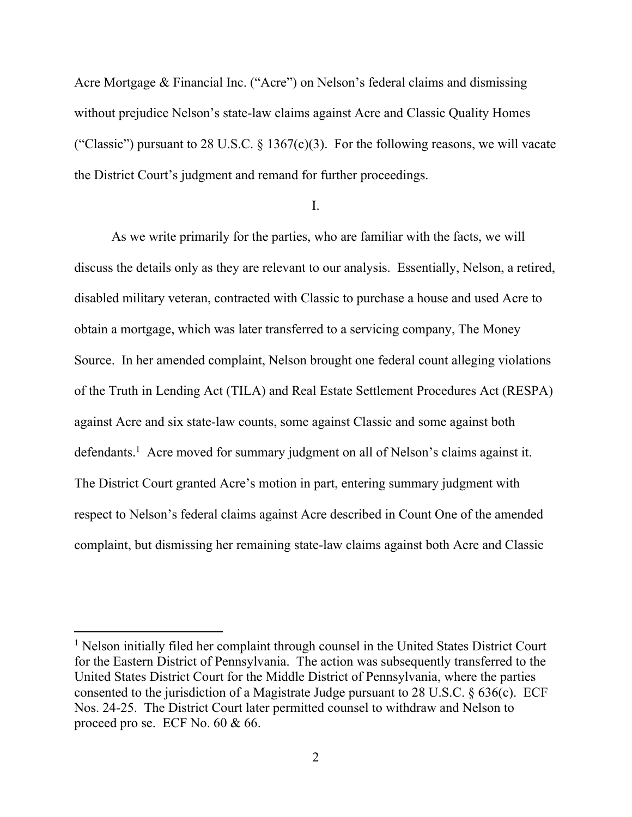Acre Mortgage & Financial Inc. ("Acre") on Nelson's federal claims and dismissing without prejudice Nelson's state-law claims against Acre and Classic Quality Homes ("Classic") pursuant to 28 U.S.C.  $\S 1367(c)(3)$ . For the following reasons, we will vacate the District Court's judgment and remand for further proceedings.

I.

As we write primarily for the parties, who are familiar with the facts, we will discuss the details only as they are relevant to our analysis. Essentially, Nelson, a retired, disabled military veteran, contracted with Classic to purchase a house and used Acre to obtain a mortgage, which was later transferred to a servicing company, The Money Source. In her amended complaint, Nelson brought one federal count alleging violations of the Truth in Lending Act (TILA) and Real Estate Settlement Procedures Act (RESPA) against Acre and six state-law counts, some against Classic and some against both defendants.<sup>1</sup> Acre moved for summary judgment on all of Nelson's claims against it. The District Court granted Acre's motion in part, entering summary judgment with respect to Nelson's federal claims against Acre described in Count One of the amended complaint, but dismissing her remaining state-law claims against both Acre and Classic

<sup>&</sup>lt;sup>1</sup> Nelson initially filed her complaint through counsel in the United States District Court for the Eastern District of Pennsylvania. The action was subsequently transferred to the United States District Court for the Middle District of Pennsylvania, where the parties consented to the jurisdiction of a Magistrate Judge pursuant to 28 U.S.C. § 636(c). ECF Nos. 24-25. The District Court later permitted counsel to withdraw and Nelson to proceed pro se. ECF No. 60 & 66.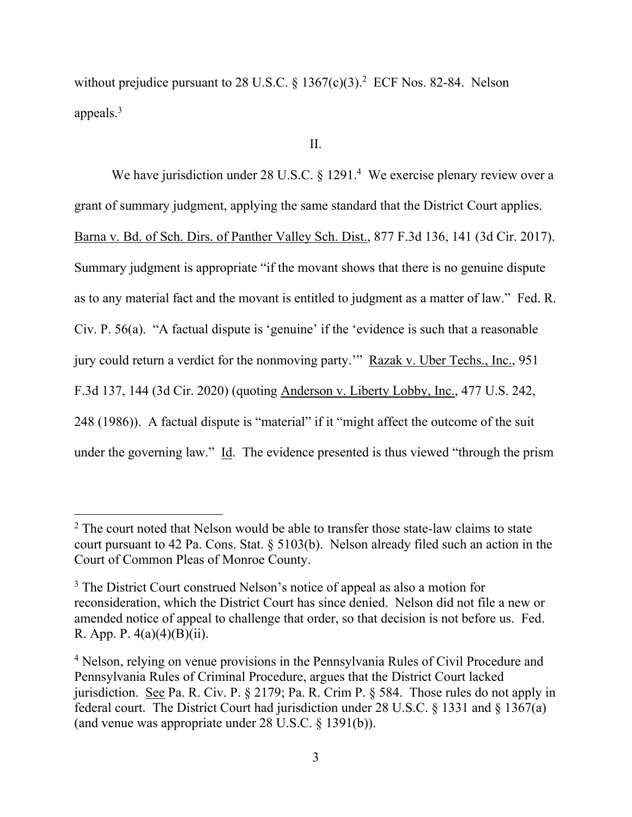without prejudice pursuant to 28 U.S.C.  $\S 1367(c)(3)$ .<sup>2</sup> ECF Nos. 82-84. Nelson appeals.<sup>3</sup>

II.

We have jurisdiction under 28 U.S.C.  $\S 1291.^4$  We exercise plenary review over a grant of summary judgment, applying the same standard that the District Court applies. Barna v. Bd. of Sch. Dirs. of Panther Valley Sch. Dist., 877 F.3d 136, 141 (3d Cir. 2017). Summary judgment is appropriate "if the movant shows that there is no genuine dispute as to any material fact and the movant is entitled to judgment as a matter of law." Fed. R. Civ. P. 56(a). "A factual dispute is 'genuine' if the 'evidence is such that a reasonable jury could return a verdict for the nonmoving party.'" Razak v. Uber Techs., Inc., 951 F.3d 137, 144 (3d Cir. 2020) (quoting Anderson v. Liberty Lobby, Inc., 477 U.S. 242, 248 (1986)). A factual dispute is "material" if it "might affect the outcome of the suit under the governing law." Id. The evidence presented is thus viewed "through the prism

<sup>&</sup>lt;sup>2</sup> The court noted that Nelson would be able to transfer those state-law claims to state court pursuant to 42 Pa. Cons. Stat. § 5103(b). Nelson already filed such an action in the Court of Common Pleas of Monroe County.

<sup>&</sup>lt;sup>3</sup> The District Court construed Nelson's notice of appeal as also a motion for reconsideration, which the District Court has since denied. Nelson did not file a new or amended notice of appeal to challenge that order, so that decision is not before us. Fed. R. App. P.  $4(a)(4)(B)(ii)$ .

<sup>&</sup>lt;sup>4</sup> Nelson, relying on venue provisions in the Pennsylvania Rules of Civil Procedure and Pennsylvania Rules of Criminal Procedure, argues that the District Court lacked jurisdiction. See Pa. R. Civ. P. § 2179; Pa. R. Crim P. § 584. Those rules do not apply in federal court. The District Court had jurisdiction under 28 U.S.C. § 1331 and § 1367(a) (and venue was appropriate under 28 U.S.C. § 1391(b)).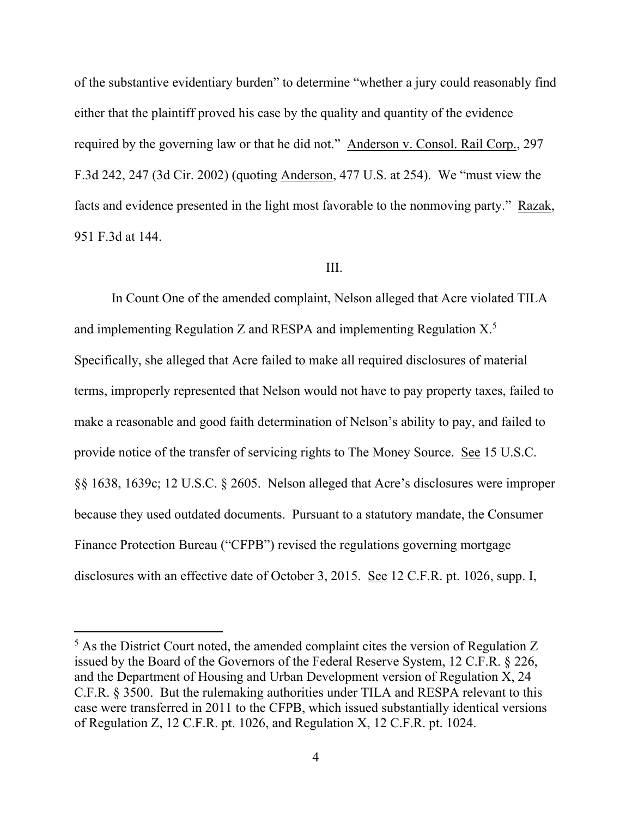of the substantive evidentiary burden" to determine "whether a jury could reasonably find either that the plaintiff proved his case by the quality and quantity of the evidence required by the governing law or that he did not." Anderson v. Consol. Rail Corp., 297 F.3d 242, 247 (3d Cir. 2002) (quoting Anderson, 477 U.S. at 254). We "must view the facts and evidence presented in the light most favorable to the nonmoving party." Razak, 951 F.3d at 144.

## III.

In Count One of the amended complaint, Nelson alleged that Acre violated TILA and implementing Regulation Z and RESPA and implementing Regulation  $X$ <sup>5</sup> Specifically, she alleged that Acre failed to make all required disclosures of material terms, improperly represented that Nelson would not have to pay property taxes, failed to make a reasonable and good faith determination of Nelson's ability to pay, and failed to provide notice of the transfer of servicing rights to The Money Source. See 15 U.S.C. §§ 1638, 1639c; 12 U.S.C. § 2605. Nelson alleged that Acre's disclosures were improper because they used outdated documents. Pursuant to a statutory mandate, the Consumer Finance Protection Bureau ("CFPB") revised the regulations governing mortgage disclosures with an effective date of October 3, 2015. See 12 C.F.R. pt. 1026, supp. I,

<sup>&</sup>lt;sup>5</sup> As the District Court noted, the amended complaint cites the version of Regulation Z issued by the Board of the Governors of the Federal Reserve System, 12 C.F.R. § 226, and the Department of Housing and Urban Development version of Regulation X, 24 C.F.R. § 3500. But the rulemaking authorities under TILA and RESPA relevant to this case were transferred in 2011 to the CFPB, which issued substantially identical versions of Regulation Z, 12 C.F.R. pt. 1026, and Regulation X, 12 C.F.R. pt. 1024.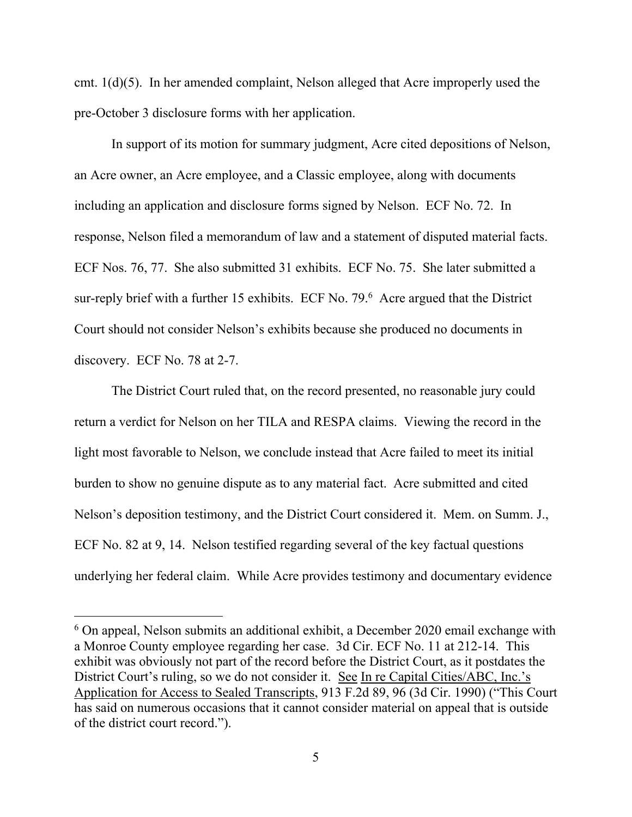cmt. 1(d)(5). In her amended complaint, Nelson alleged that Acre improperly used the pre-October 3 disclosure forms with her application.

In support of its motion for summary judgment, Acre cited depositions of Nelson, an Acre owner, an Acre employee, and a Classic employee, along with documents including an application and disclosure forms signed by Nelson. ECF No. 72. In response, Nelson filed a memorandum of law and a statement of disputed material facts. ECF Nos. 76, 77. She also submitted 31 exhibits. ECF No. 75. She later submitted a sur-reply brief with a further 15 exhibits. ECF No.  $79.6$  Acre argued that the District Court should not consider Nelson's exhibits because she produced no documents in discovery. ECF No. 78 at 2-7.

The District Court ruled that, on the record presented, no reasonable jury could return a verdict for Nelson on her TILA and RESPA claims. Viewing the record in the light most favorable to Nelson, we conclude instead that Acre failed to meet its initial burden to show no genuine dispute as to any material fact. Acre submitted and cited Nelson's deposition testimony, and the District Court considered it. Mem. on Summ. J., ECF No. 82 at 9, 14. Nelson testified regarding several of the key factual questions underlying her federal claim. While Acre provides testimony and documentary evidence

 $6$  On appeal, Nelson submits an additional exhibit, a December 2020 email exchange with a Monroe County employee regarding her case. 3d Cir. ECF No. 11 at 212-14. This exhibit was obviously not part of the record before the District Court, as it postdates the District Court's ruling, so we do not consider it. See In re Capital Cities/ABC, Inc.'s Application for Access to Sealed Transcripts, 913 F.2d 89, 96 (3d Cir. 1990) ("This Court has said on numerous occasions that it cannot consider material on appeal that is outside of the district court record.").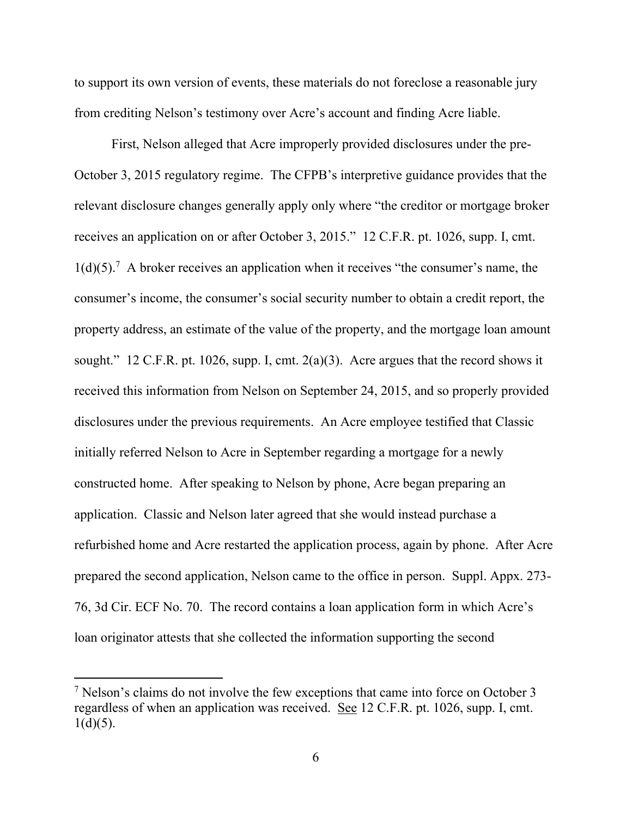to support its own version of events, these materials do not foreclose a reasonable jury from crediting Nelson's testimony over Acre's account and finding Acre liable.

First, Nelson alleged that Acre improperly provided disclosures under the pre-October 3, 2015 regulatory regime. The CFPB's interpretive guidance provides that the relevant disclosure changes generally apply only where "the creditor or mortgage broker receives an application on or after October 3, 2015." 12 C.F.R. pt. 1026, supp. I, cmt.  $1(d)(5)$ .<sup>7</sup> A broker receives an application when it receives "the consumer's name, the consumer's income, the consumer's social security number to obtain a credit report, the property address, an estimate of the value of the property, and the mortgage loan amount sought." 12 C.F.R. pt. 1026, supp. I, cmt. 2(a)(3). Acre argues that the record shows it received this information from Nelson on September 24, 2015, and so properly provided disclosures under the previous requirements. An Acre employee testified that Classic initially referred Nelson to Acre in September regarding a mortgage for a newly constructed home. After speaking to Nelson by phone, Acre began preparing an application. Classic and Nelson later agreed that she would instead purchase a refurbished home and Acre restarted the application process, again by phone. After Acre prepared the second application, Nelson came to the office in person. Suppl. Appx. 273- 76, 3d Cir. ECF No. 70. The record contains a loan application form in which Acre's loan originator attests that she collected the information supporting the second

<sup>7</sup> Nelson's claims do not involve the few exceptions that came into force on October 3 regardless of when an application was received. See 12 C.F.R. pt. 1026, supp. I, cmt.  $1(d)(5)$ .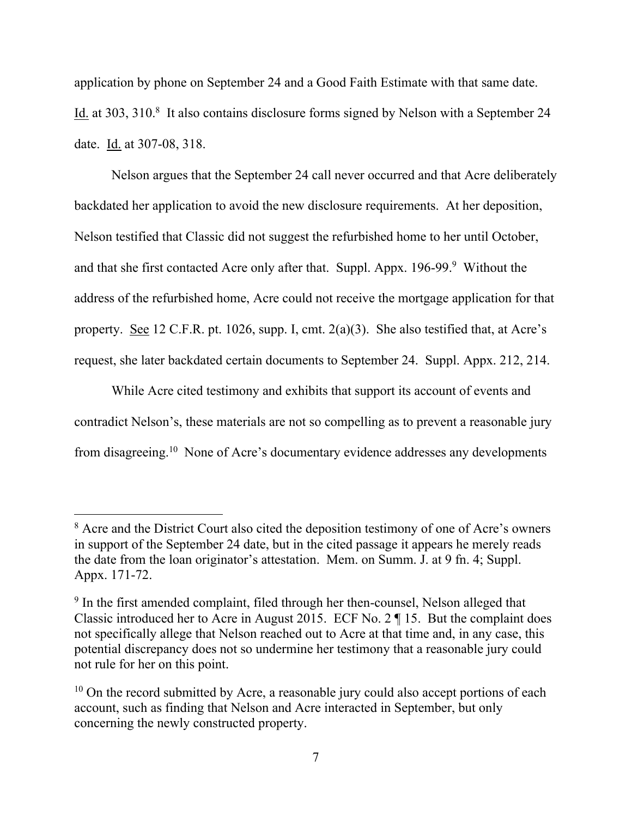application by phone on September 24 and a Good Faith Estimate with that same date. Id. at 303, 310.8 It also contains disclosure forms signed by Nelson with a September 24 date. Id. at 307-08, 318.

Nelson argues that the September 24 call never occurred and that Acre deliberately backdated her application to avoid the new disclosure requirements. At her deposition, Nelson testified that Classic did not suggest the refurbished home to her until October, and that she first contacted Acre only after that. Suppl. Appx. 196-99.<sup>9</sup> Without the address of the refurbished home, Acre could not receive the mortgage application for that property. See 12 C.F.R. pt. 1026, supp. I, cmt. 2(a)(3). She also testified that, at Acre's request, she later backdated certain documents to September 24. Suppl. Appx. 212, 214.

While Acre cited testimony and exhibits that support its account of events and contradict Nelson's, these materials are not so compelling as to prevent a reasonable jury from disagreeing.<sup>10</sup> None of Acre's documentary evidence addresses any developments

<sup>&</sup>lt;sup>8</sup> Acre and the District Court also cited the deposition testimony of one of Acre's owners in support of the September 24 date, but in the cited passage it appears he merely reads the date from the loan originator's attestation. Mem. on Summ. J. at 9 fn. 4; Suppl. Appx. 171-72.

<sup>&</sup>lt;sup>9</sup> In the first amended complaint, filed through her then-counsel, Nelson alleged that Classic introduced her to Acre in August 2015. ECF No. 2 ¶ 15. But the complaint does not specifically allege that Nelson reached out to Acre at that time and, in any case, this potential discrepancy does not so undermine her testimony that a reasonable jury could not rule for her on this point.

 $10$  On the record submitted by Acre, a reasonable jury could also accept portions of each account, such as finding that Nelson and Acre interacted in September, but only concerning the newly constructed property.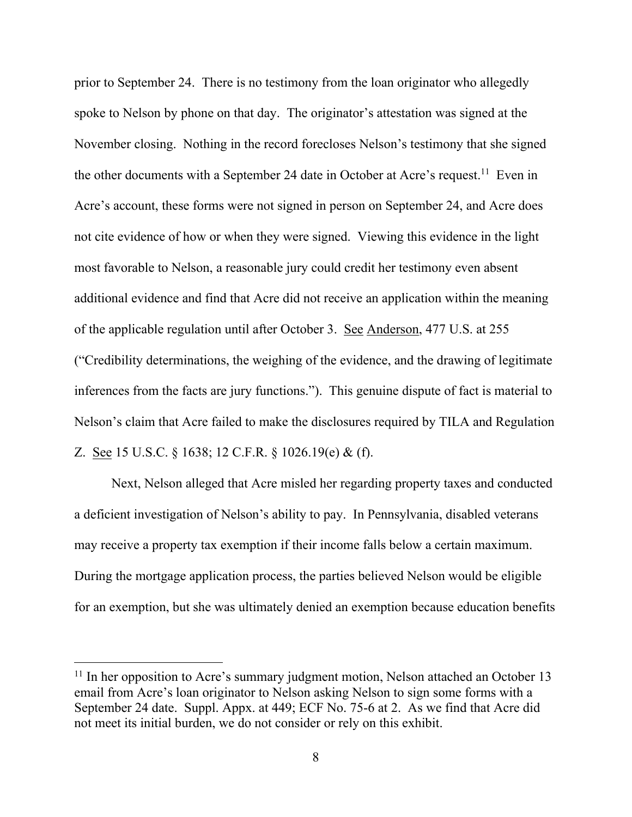prior to September 24. There is no testimony from the loan originator who allegedly spoke to Nelson by phone on that day. The originator's attestation was signed at the November closing. Nothing in the record forecloses Nelson's testimony that she signed the other documents with a September 24 date in October at Acre's request.<sup>11</sup> Even in Acre's account, these forms were not signed in person on September 24, and Acre does not cite evidence of how or when they were signed. Viewing this evidence in the light most favorable to Nelson, a reasonable jury could credit her testimony even absent additional evidence and find that Acre did not receive an application within the meaning of the applicable regulation until after October 3. See Anderson, 477 U.S. at 255 ("Credibility determinations, the weighing of the evidence, and the drawing of legitimate inferences from the facts are jury functions."). This genuine dispute of fact is material to Nelson's claim that Acre failed to make the disclosures required by TILA and Regulation Z. See 15 U.S.C. § 1638; 12 C.F.R. § 1026.19(e) & (f).

Next, Nelson alleged that Acre misled her regarding property taxes and conducted a deficient investigation of Nelson's ability to pay. In Pennsylvania, disabled veterans may receive a property tax exemption if their income falls below a certain maximum. During the mortgage application process, the parties believed Nelson would be eligible for an exemption, but she was ultimately denied an exemption because education benefits

 $11$  In her opposition to Acre's summary judgment motion, Nelson attached an October 13 email from Acre's loan originator to Nelson asking Nelson to sign some forms with a September 24 date. Suppl. Appx. at 449; ECF No. 75-6 at 2. As we find that Acre did not meet its initial burden, we do not consider or rely on this exhibit.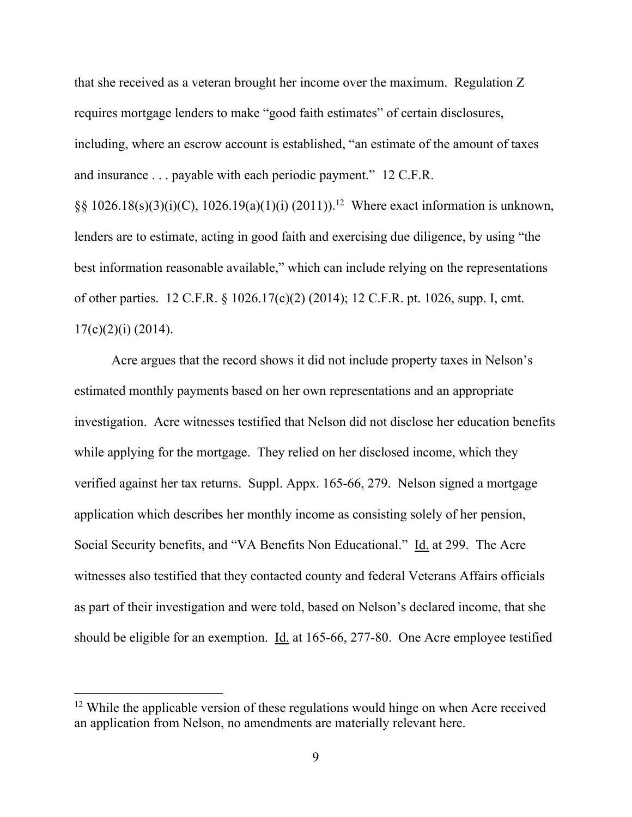that she received as a veteran brought her income over the maximum. Regulation Z requires mortgage lenders to make "good faith estimates" of certain disclosures, including, where an escrow account is established, "an estimate of the amount of taxes and insurance . . . payable with each periodic payment." 12 C.F.R.

 $\S\S 1026.18(s)(3)(i)(C)$ , 1026.19(a)(1)(i) (2011)).<sup>12</sup> Where exact information is unknown, lenders are to estimate, acting in good faith and exercising due diligence, by using "the best information reasonable available," which can include relying on the representations of other parties. 12 C.F.R. § 1026.17(c)(2) (2014); 12 C.F.R. pt. 1026, supp. I, cmt.  $17(c)(2)(i)$  (2014).

Acre argues that the record shows it did not include property taxes in Nelson's estimated monthly payments based on her own representations and an appropriate investigation. Acre witnesses testified that Nelson did not disclose her education benefits while applying for the mortgage. They relied on her disclosed income, which they verified against her tax returns. Suppl. Appx. 165-66, 279. Nelson signed a mortgage application which describes her monthly income as consisting solely of her pension, Social Security benefits, and "VA Benefits Non Educational." Id. at 299. The Acre witnesses also testified that they contacted county and federal Veterans Affairs officials as part of their investigation and were told, based on Nelson's declared income, that she should be eligible for an exemption. Id. at 165-66, 277-80. One Acre employee testified

<sup>&</sup>lt;sup>12</sup> While the applicable version of these regulations would hinge on when Acre received an application from Nelson, no amendments are materially relevant here.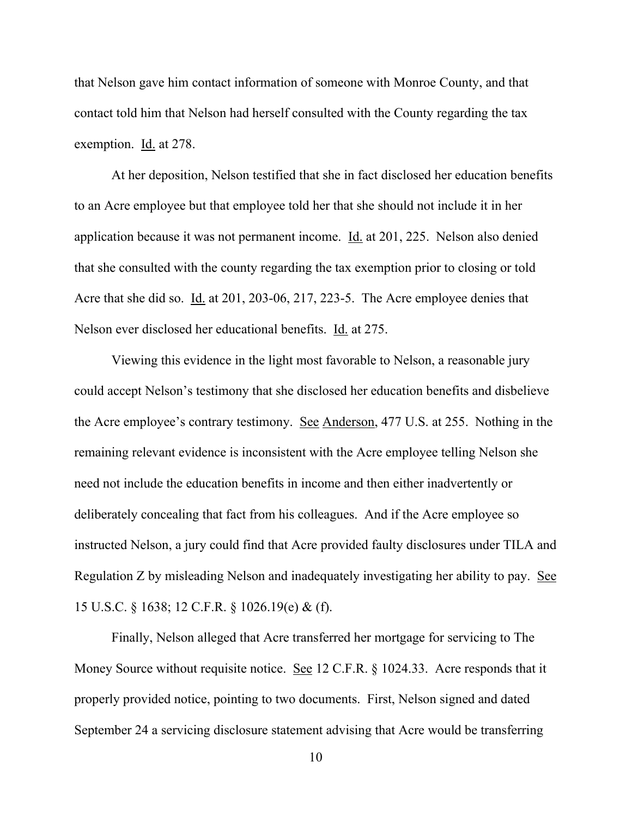that Nelson gave him contact information of someone with Monroe County, and that contact told him that Nelson had herself consulted with the County regarding the tax exemption. Id. at 278.

At her deposition, Nelson testified that she in fact disclosed her education benefits to an Acre employee but that employee told her that she should not include it in her application because it was not permanent income. Id. at 201, 225. Nelson also denied that she consulted with the county regarding the tax exemption prior to closing or told Acre that she did so. Id. at 201, 203-06, 217, 223-5. The Acre employee denies that Nelson ever disclosed her educational benefits. Id. at 275.

Viewing this evidence in the light most favorable to Nelson, a reasonable jury could accept Nelson's testimony that she disclosed her education benefits and disbelieve the Acre employee's contrary testimony. See Anderson, 477 U.S. at 255. Nothing in the remaining relevant evidence is inconsistent with the Acre employee telling Nelson she need not include the education benefits in income and then either inadvertently or deliberately concealing that fact from his colleagues. And if the Acre employee so instructed Nelson, a jury could find that Acre provided faulty disclosures under TILA and Regulation Z by misleading Nelson and inadequately investigating her ability to pay. See 15 U.S.C. § 1638; 12 C.F.R. § 1026.19(e) & (f).

Finally, Nelson alleged that Acre transferred her mortgage for servicing to The Money Source without requisite notice. See 12 C.F.R. § 1024.33. Acre responds that it properly provided notice, pointing to two documents. First, Nelson signed and dated September 24 a servicing disclosure statement advising that Acre would be transferring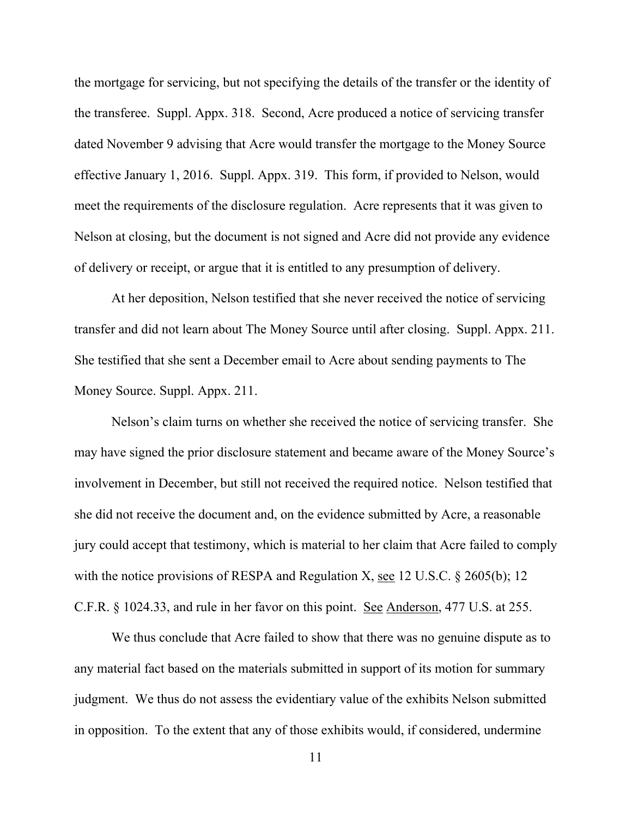the mortgage for servicing, but not specifying the details of the transfer or the identity of the transferee. Suppl. Appx. 318. Second, Acre produced a notice of servicing transfer dated November 9 advising that Acre would transfer the mortgage to the Money Source effective January 1, 2016. Suppl. Appx. 319. This form, if provided to Nelson, would meet the requirements of the disclosure regulation. Acre represents that it was given to Nelson at closing, but the document is not signed and Acre did not provide any evidence of delivery or receipt, or argue that it is entitled to any presumption of delivery.

At her deposition, Nelson testified that she never received the notice of servicing transfer and did not learn about The Money Source until after closing. Suppl. Appx. 211. She testified that she sent a December email to Acre about sending payments to The Money Source. Suppl. Appx. 211.

Nelson's claim turns on whether she received the notice of servicing transfer. She may have signed the prior disclosure statement and became aware of the Money Source's involvement in December, but still not received the required notice. Nelson testified that she did not receive the document and, on the evidence submitted by Acre, a reasonable jury could accept that testimony, which is material to her claim that Acre failed to comply with the notice provisions of RESPA and Regulation X, see 12 U.S.C. § 2605(b); 12 C.F.R. § 1024.33, and rule in her favor on this point. See Anderson, 477 U.S. at 255.

We thus conclude that Acre failed to show that there was no genuine dispute as to any material fact based on the materials submitted in support of its motion for summary judgment. We thus do not assess the evidentiary value of the exhibits Nelson submitted in opposition. To the extent that any of those exhibits would, if considered, undermine

11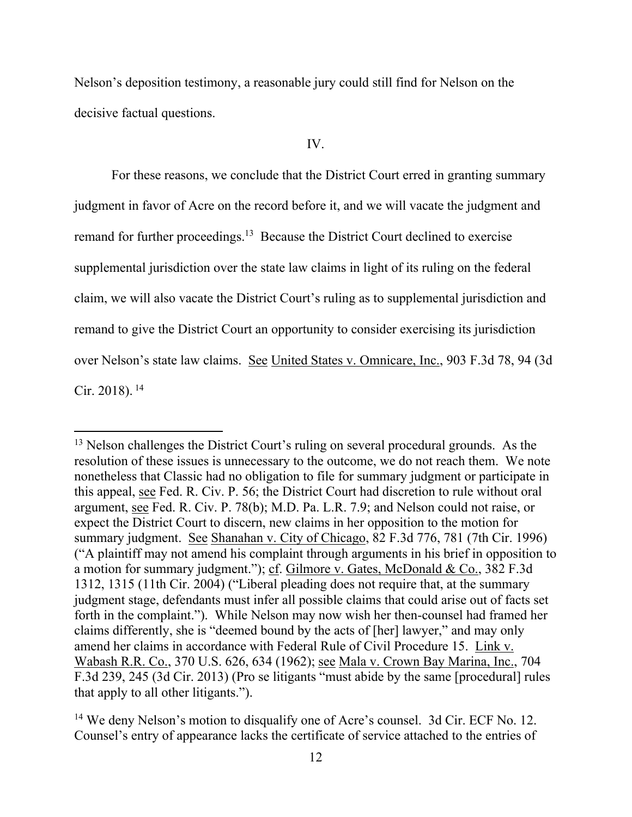Nelson's deposition testimony, a reasonable jury could still find for Nelson on the decisive factual questions.

### IV.

For these reasons, we conclude that the District Court erred in granting summary judgment in favor of Acre on the record before it, and we will vacate the judgment and remand for further proceedings.<sup>13</sup> Because the District Court declined to exercise supplemental jurisdiction over the state law claims in light of its ruling on the federal claim, we will also vacate the District Court's ruling as to supplemental jurisdiction and remand to give the District Court an opportunity to consider exercising its jurisdiction over Nelson's state law claims. See United States v. Omnicare, Inc., 903 F.3d 78, 94 (3d Cir. 2018). <sup>14</sup>

<sup>&</sup>lt;sup>13</sup> Nelson challenges the District Court's ruling on several procedural grounds. As the resolution of these issues is unnecessary to the outcome, we do not reach them. We note nonetheless that Classic had no obligation to file for summary judgment or participate in this appeal, see Fed. R. Civ. P. 56; the District Court had discretion to rule without oral argument, see Fed. R. Civ. P. 78(b); M.D. Pa. L.R. 7.9; and Nelson could not raise, or expect the District Court to discern, new claims in her opposition to the motion for summary judgment. See Shanahan v. City of Chicago, 82 F.3d 776, 781 (7th Cir. 1996) ("A plaintiff may not amend his complaint through arguments in his brief in opposition to a motion for summary judgment."); cf. Gilmore v. Gates, McDonald & Co., 382 F.3d 1312, 1315 (11th Cir. 2004) ("Liberal pleading does not require that, at the summary judgment stage, defendants must infer all possible claims that could arise out of facts set forth in the complaint."). While Nelson may now wish her then-counsel had framed her claims differently, she is "deemed bound by the acts of [her] lawyer," and may only amend her claims in accordance with Federal Rule of Civil Procedure 15. Link v. Wabash R.R. Co., 370 U.S. 626, 634 (1962); see Mala v. Crown Bay Marina, Inc., 704 F.3d 239, 245 (3d Cir. 2013) (Pro se litigants "must abide by the same [procedural] rules that apply to all other litigants.").

<sup>&</sup>lt;sup>14</sup> We deny Nelson's motion to disqualify one of Acre's counsel. 3d Cir. ECF No. 12. Counsel's entry of appearance lacks the certificate of service attached to the entries of